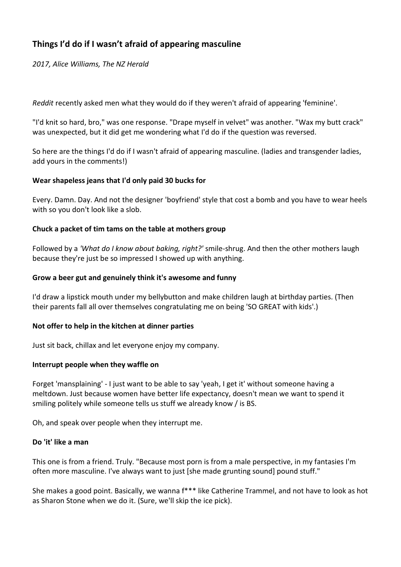# **Things I'd do if I wasn't afraid of appearing masculine**

*2017, Alice Williams, The NZ Herald*

*Reddit* recently asked men what they would do if they weren't afraid of appearing 'feminine'.

"I'd knit so hard, bro," was [one response.](https://www.reddit.com/r/AskReddit/comments/5mr6yf/men_of_reddit_what_thing_would_you_do_if_it_wasnt/) "Drape myself in velvet" was another. "Wax my butt crack" was unexpected, but it did get me wondering what I'd do if the question was reversed.

So here are the things I'd do if I wasn't afraid of appearing masculine. (ladies and transgender ladies, add yours in the comments!)

### **Wear shapeless jeans that I'd only paid 30 bucks for**

Every. Damn. Day. And not the designer 'boyfriend' style that cost a bomb and you have to wear heels with so you don't look like a slob.

### **Chuck a packet of tim tams on the table at mothers group**

Followed by a *'What do I know about baking, right?'* smile-shrug. And then the other mothers laugh because they're just be so impressed I showed up with anything.

### **Grow a beer gut and genuinely think it's awesome and funny**

I'd draw a lipstick mouth under my bellybutton and make children laugh at birthday parties. (Then their parents fall all over themselves congratulating me on being 'SO GREAT with kids'.)

#### **Not offer to help in the kitchen at dinner parties**

Just sit back, chillax and let everyone enjoy my company.

#### **Interrupt people when they waffle on**

Forget 'mansplaining' - I just want to be able to say 'yeah, I get it' without someone having a meltdown. Just because women have better life expectancy, doesn't mean we want to spend it smiling politely while someone tells us stuff we already know / is BS.

Oh, and speak over people when they [interrupt me.](http://www.news.com.au/entertainment/tv/fiery-clash-on-the-project-over-trump-people-like-you-lecture-and-heckle/news-story/ef97ba4001e3003a5808e94b46ecef2c)

# **Do 'it' like a man**

This one is from a friend. Truly. "Because most porn is from a male perspective, in my fantasies I'm often more masculine. I've always want to just [she made grunting sound] pound stuff."

She makes a good point. Basically, we wanna f\*\*\* like Catherine Trammel, and not have to look as hot as Sharon Stone when we do it. (Sure, we'll skip the ice pick).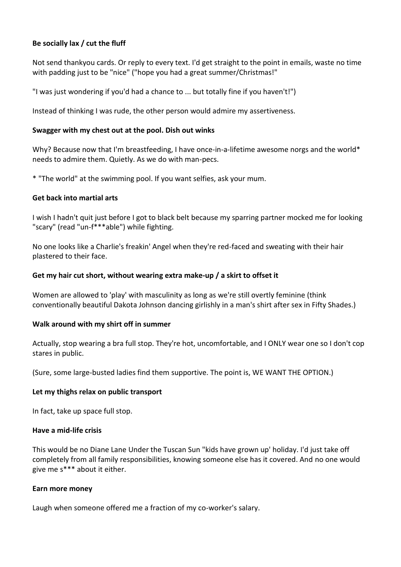# **Be socially lax / cut the fluff**

Not send thankyou cards. Or reply to every text. I'd get straight to the point in emails, waste no time with padding just to be "nice" ("hope you had a great summer/Christmas!"

"I was just wondering if you'd had a chance to ... but totally fine if you haven't!")

Instead of thinking I was rude, the other person would admire my assertiveness.

#### **Swagger with my chest out at the pool. Dish out winks**

Why? Because now that I'm breastfeeding, I have once-in-a-lifetime awesome norgs and the world\* needs to admire them. Quietly. As we do with man-pecs.

\* "The world" at the swimming pool. If you want selfies, ask your mum.

### **Get back into martial arts**

I wish I hadn't quit just before I got to black belt because my sparring partner mocked me for looking "scary" (read "un-f\*\*\*able") while fighting.

No one looks like a Charlie's freakin' Angel when they're red-faced and sweating with their hair plastered to their face.

### **Get my hair cut short, without wearing extra make-up / a skirt to offset it**

Women are allowed to 'play' with masculinity as long as we're still overtly feminine (think conventionally beautiful Dakota Johnson dancing girlishly in a man's shirt after sex in Fifty Shades.)

# **Walk around with my shirt off in summer**

Actually, stop wearing a bra full stop. They're hot, uncomfortable, and I ONLY wear one so I don't cop stares in public.

(Sure, some large-busted ladies find them supportive. The point is, WE WANT THE OPTION.)

#### **Let my thighs relax on public transport**

In fact, take up space full stop.

#### **Have a mid-life crisis**

This would be no Diane Lane Under the Tuscan Sun "kids have grown up' holiday. I'd just take off completely from all family responsibilities, knowing someone else has it covered. And no one would give me s\*\*\* about it either.

#### **Earn more money**

Laugh when someone offered me a fraction of my co-worker's salary.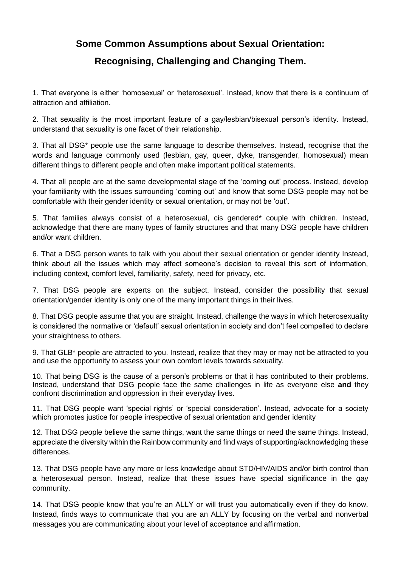# **Some Common Assumptions about Sexual Orientation:**

# **Recognising, Challenging and Changing Them.**

1. That everyone is either 'homosexual' or 'heterosexual'. Instead, know that there is a continuum of attraction and affiliation.

2. That sexuality is the most important feature of a gay/lesbian/bisexual person's identity. Instead, understand that sexuality is one facet of their relationship.

3. That all DSG\* people use the same language to describe themselves. Instead, recognise that the words and language commonly used (lesbian, gay, queer, dyke, transgender, homosexual) mean different things to different people and often make important political statements.

4. That all people are at the same developmental stage of the 'coming out' process. Instead, develop your familiarity with the issues surrounding 'coming out' and know that some DSG people may not be comfortable with their gender identity or sexual orientation, or may not be 'out'.

5. That families always consist of a heterosexual, cis gendered\* couple with children. Instead, acknowledge that there are many types of family structures and that many DSG people have children and/or want children.

6. That a DSG person wants to talk with you about their sexual orientation or gender identity Instead, think about all the issues which may affect someone's decision to reveal this sort of information, including context, comfort level, familiarity, safety, need for privacy, etc.

7. That DSG people are experts on the subject. Instead, consider the possibility that sexual orientation/gender identity is only one of the many important things in their lives.

8. That DSG people assume that you are straight. Instead, challenge the ways in which heterosexuality is considered the normative or 'default' sexual orientation in society and don't feel compelled to declare your straightness to others.

9. That GLB\* people are attracted to you. Instead, realize that they may or may not be attracted to you and use the opportunity to assess your own comfort levels towards sexuality.

10. That being DSG is the cause of a person's problems or that it has contributed to their problems. Instead, understand that DSG people face the same challenges in life as everyone else **and** they confront discrimination and oppression in their everyday lives.

11. That DSG people want 'special rights' or 'special consideration'. Instead, advocate for a society which promotes justice for people irrespective of sexual orientation and gender identity

12. That DSG people believe the same things, want the same things or need the same things. Instead, appreciate the diversity within the Rainbow community and find ways of supporting/acknowledging these differences.

13. That DSG people have any more or less knowledge about STD/HIV/AIDS and/or birth control than a heterosexual person. Instead, realize that these issues have special significance in the gay community.

14. That DSG people know that you're an ALLY or will trust you automatically even if they do know. Instead, finds ways to communicate that you are an ALLY by focusing on the verbal and nonverbal messages you are communicating about your level of acceptance and affirmation.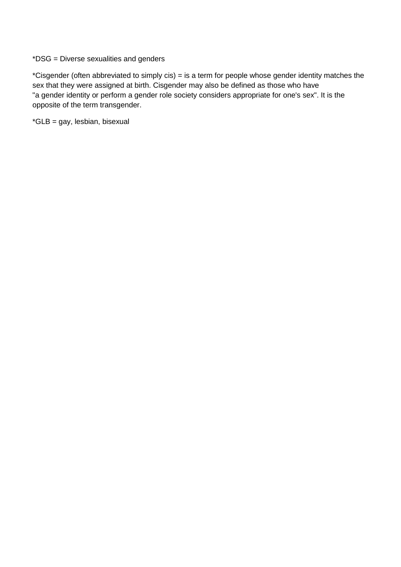\*DSG = Diverse sexualities and genders

\*Cisgender (often abbreviated to simply cis) = is a term for people whose gender identity matches the sex that they were assigned at birth. Cisgender may also be defined as those who have "a gender identity or perform a gender role society considers appropriate for one's sex". It is the opposite of the term transgender.

\*GLB = gay, lesbian, bisexual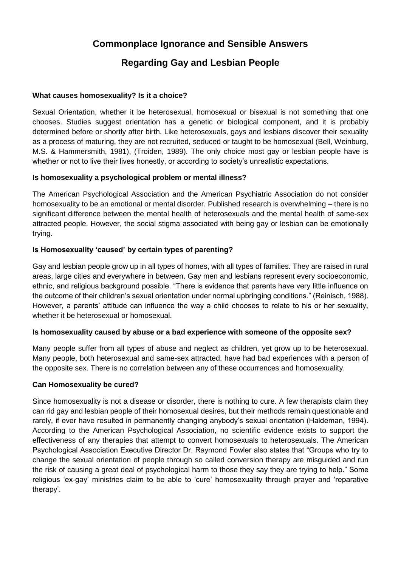# **Commonplace Ignorance and Sensible Answers**

# **Regarding Gay and Lesbian People**

### **What causes homosexuality? Is it a choice?**

Sexual Orientation, whether it be heterosexual, homosexual or bisexual is not something that one chooses. Studies suggest orientation has a genetic or biological component, and it is probably determined before or shortly after birth. Like heterosexuals, gays and lesbians discover their sexuality as a process of maturing, they are not recruited, seduced or taught to be homosexual (Bell, Weinburg, M.S. & Hammersmith, 1981), (Troiden, 1989). The only choice most gay or lesbian people have is whether or not to live their lives honestly, or according to society's unrealistic expectations.

### **Is homosexuality a psychological problem or mental illness?**

The American Psychological Association and the American Psychiatric Association do not consider homosexuality to be an emotional or mental disorder. Published research is overwhelming – there is no significant difference between the mental health of heterosexuals and the mental health of same-sex attracted people. However, the social stigma associated with being gay or lesbian can be emotionally trying.

### **Is Homosexuality 'caused' by certain types of parenting?**

Gay and lesbian people grow up in all types of homes, with all types of families. They are raised in rural areas, large cities and everywhere in between. Gay men and lesbians represent every socioeconomic, ethnic, and religious background possible. "There is evidence that parents have very little influence on the outcome of their children's sexual orientation under normal upbringing conditions." (Reinisch, 1988). However, a parents' attitude can influence the way a child chooses to relate to his or her sexuality, whether it be heterosexual or homosexual.

#### **Is homosexuality caused by abuse or a bad experience with someone of the opposite sex?**

Many people suffer from all types of abuse and neglect as children, yet grow up to be heterosexual. Many people, both heterosexual and same-sex attracted, have had bad experiences with a person of the opposite sex. There is no correlation between any of these occurrences and homosexuality.

#### **Can Homosexuality be cured?**

Since homosexuality is not a disease or disorder, there is nothing to cure. A few therapists claim they can rid gay and lesbian people of their homosexual desires, but their methods remain questionable and rarely, if ever have resulted in permanently changing anybody's sexual orientation (Haldeman, 1994). According to the American Psychological Association, no scientific evidence exists to support the effectiveness of any therapies that attempt to convert homosexuals to heterosexuals. The American Psychological Association Executive Director Dr. Raymond Fowler also states that "Groups who try to change the sexual orientation of people through so called conversion therapy are misguided and run the risk of causing a great deal of psychological harm to those they say they are trying to help." Some religious 'ex-gay' ministries claim to be able to 'cure' homosexuality through prayer and 'reparative therapy'.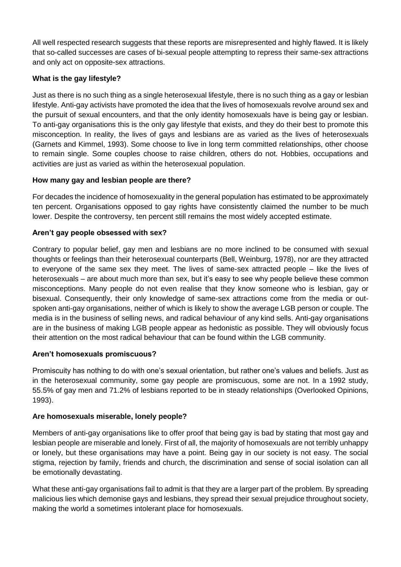All well respected research suggests that these reports are misrepresented and highly flawed. It is likely that so-called successes are cases of bi-sexual people attempting to repress their same-sex attractions and only act on opposite-sex attractions.

# **What is the gay lifestyle?**

Just as there is no such thing as a single heterosexual lifestyle, there is no such thing as a gay or lesbian lifestyle. Anti-gay activists have promoted the idea that the lives of homosexuals revolve around sex and the pursuit of sexual encounters, and that the only identity homosexuals have is being gay or lesbian. To anti-gay organisations this is the only gay lifestyle that exists, and they do their best to promote this misconception. In reality, the lives of gays and lesbians are as varied as the lives of heterosexuals (Garnets and Kimmel, 1993). Some choose to live in long term committed relationships, other choose to remain single. Some couples choose to raise children, others do not. Hobbies, occupations and activities are just as varied as within the heterosexual population.

# **How many gay and lesbian people are there?**

For decades the incidence of homosexuality in the general population has estimated to be approximately ten percent. Organisations opposed to gay rights have consistently claimed the number to be much lower. Despite the controversy, ten percent still remains the most widely accepted estimate.

# **Aren't gay people obsessed with sex?**

Contrary to popular belief, gay men and lesbians are no more inclined to be consumed with sexual thoughts or feelings than their heterosexual counterparts (Bell, Weinburg, 1978), nor are they attracted to everyone of the same sex they meet. The lives of same-sex attracted people – like the lives of heterosexuals – are about much more than sex, but it's easy to see why people believe these common misconceptions. Many people do not even realise that they know someone who is lesbian, gay or bisexual. Consequently, their only knowledge of same-sex attractions come from the media or outspoken anti-gay organisations, neither of which is likely to show the average LGB person or couple. The media is in the business of selling news, and radical behaviour of any kind sells. Anti-gay organisations are in the business of making LGB people appear as hedonistic as possible. They will obviously focus their attention on the most radical behaviour that can be found within the LGB community.

# **Aren't homosexuals promiscuous?**

Promiscuity has nothing to do with one's sexual orientation, but rather one's values and beliefs. Just as in the heterosexual community, some gay people are promiscuous, some are not. In a 1992 study, 55.5% of gay men and 71.2% of lesbians reported to be in steady relationships (Overlooked Opinions, 1993).

# **Are homosexuals miserable, lonely people?**

Members of anti-gay organisations like to offer proof that being gay is bad by stating that most gay and lesbian people are miserable and lonely. First of all, the majority of homosexuals are not terribly unhappy or lonely, but these organisations may have a point. Being gay in our society is not easy. The social stigma, rejection by family, friends and church, the discrimination and sense of social isolation can all be emotionally devastating.

What these anti-gay organisations fail to admit is that they are a larger part of the problem. By spreading malicious lies which demonise gays and lesbians, they spread their sexual prejudice throughout society, making the world a sometimes intolerant place for homosexuals.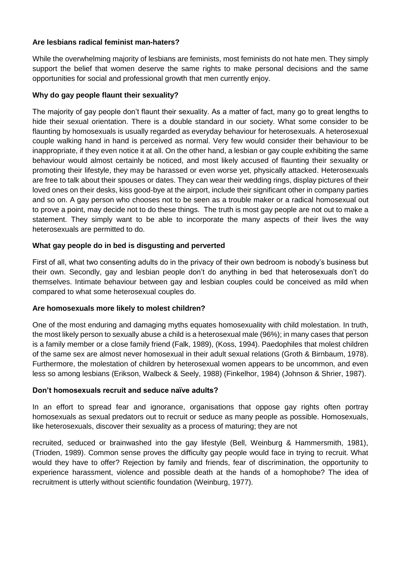### **Are lesbians radical feminist man-haters?**

While the overwhelming majority of lesbians are feminists, most feminists do not hate men. They simply support the belief that women deserve the same rights to make personal decisions and the same opportunities for social and professional growth that men currently enjoy.

### **Why do gay people flaunt their sexuality?**

The majority of gay people don't flaunt their sexuality. As a matter of fact, many go to great lengths to hide their sexual orientation. There is a double standard in our society. What some consider to be flaunting by homosexuals is usually regarded as everyday behaviour for heterosexuals. A heterosexual couple walking hand in hand is perceived as normal. Very few would consider their behaviour to be inappropriate, if they even notice it at all. On the other hand, a lesbian or gay couple exhibiting the same behaviour would almost certainly be noticed, and most likely accused of flaunting their sexuality or promoting their lifestyle, they may be harassed or even worse yet, physically attacked. Heterosexuals are free to talk about their spouses or dates. They can wear their wedding rings, display pictures of their loved ones on their desks, kiss good-bye at the airport, include their significant other in company parties and so on. A gay person who chooses not to be seen as a trouble maker or a radical homosexual out to prove a point, may decide not to do these things. The truth is most gay people are not out to make a statement. They simply want to be able to incorporate the many aspects of their lives the way heterosexuals are permitted to do.

### **What gay people do in bed is disgusting and perverted**

First of all, what two consenting adults do in the privacy of their own bedroom is nobody's business but their own. Secondly, gay and lesbian people don't do anything in bed that heterosexuals don't do themselves. Intimate behaviour between gay and lesbian couples could be conceived as mild when compared to what some heterosexual couples do.

#### **Are homosexuals more likely to molest children?**

One of the most enduring and damaging myths equates homosexuality with child molestation. In truth, the most likely person to sexually abuse a child is a heterosexual male (96%); in many cases that person is a family member or a close family friend (Falk, 1989), (Koss, 1994). Paedophiles that molest children of the same sex are almost never homosexual in their adult sexual relations (Groth & Birnbaum, 1978). Furthermore, the molestation of children by heterosexual women appears to be uncommon, and even less so among lesbians (Erikson, Walbeck & Seely, 1988) (Finkelhor, 1984) (Johnson & Shrier, 1987).

#### **Don't homosexuals recruit and seduce naïve adults?**

In an effort to spread fear and ignorance, organisations that oppose gay rights often portray homosexuals as sexual predators out to recruit or seduce as many people as possible. Homosexuals, like heterosexuals, discover their sexuality as a process of maturing; they are not

recruited, seduced or brainwashed into the gay lifestyle (Bell, Weinburg & Hammersmith, 1981), (Trioden, 1989). Common sense proves the difficulty gay people would face in trying to recruit. What would they have to offer? Rejection by family and friends, fear of discrimination, the opportunity to experience harassment, violence and possible death at the hands of a homophobe? The idea of recruitment is utterly without scientific foundation (Weinburg, 1977).